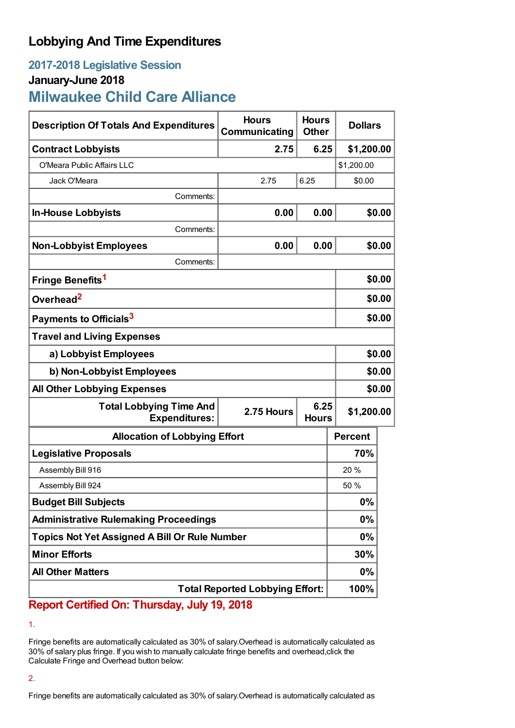## **Lobbying And Time Expenditures**

# **2017-2018 Legislative Session January-June 2018 Milwaukee Child Care Alliance**

| <b>Description Of Totals And Expenditures</b>                                                | <b>Hours</b><br>Communicating | <b>Hours</b><br><b>Other</b> | <b>Dollars</b> |        |
|----------------------------------------------------------------------------------------------|-------------------------------|------------------------------|----------------|--------|
| <b>Contract Lobbyists</b>                                                                    | 2.75                          | 6.25                         | \$1,200.00     |        |
| O'Meara Public Affairs LLC                                                                   |                               |                              | \$1,200.00     |        |
| Jack O'Meara                                                                                 | 2.75                          | 6.25                         | \$0.00         |        |
| Comments:                                                                                    |                               |                              |                |        |
| <b>In-House Lobbyists</b>                                                                    | 0.00                          | 0.00                         |                | \$0.00 |
| Comments:                                                                                    |                               |                              |                |        |
| <b>Non-Lobbyist Employees</b>                                                                | 0.00                          | 0.00                         |                | \$0.00 |
| Comments:                                                                                    |                               |                              |                |        |
| Fringe Benefits <sup>1</sup>                                                                 |                               |                              |                | \$0.00 |
| Overhead <sup>2</sup>                                                                        |                               |                              | \$0.00         |        |
| Payments to Officials <sup>3</sup>                                                           |                               |                              | \$0.00         |        |
| <b>Travel and Living Expenses</b>                                                            |                               |                              |                |        |
| a) Lobbyist Employees                                                                        |                               |                              | \$0.00         |        |
| b) Non-Lobbyist Employees                                                                    |                               |                              | \$0.00         |        |
| <b>All Other Lobbying Expenses</b>                                                           |                               |                              |                | \$0.00 |
| 6.25<br><b>Total Lobbying Time And</b><br>2.75 Hours<br><b>Expenditures:</b><br><b>Hours</b> |                               |                              | \$1,200.00     |        |
| <b>Allocation of Lobbying Effort</b>                                                         |                               |                              | <b>Percent</b> |        |
| <b>Legislative Proposals</b>                                                                 |                               |                              | 70%            |        |
| Assembly Bill 916                                                                            |                               |                              | 20 %           |        |
| Assembly Bill 924                                                                            |                               |                              | 50 %           |        |
| <b>Budget Bill Subjects</b>                                                                  |                               |                              | 0%             |        |
| <b>Administrative Rulemaking Proceedings</b>                                                 |                               |                              | $0\%$          |        |
| <b>Topics Not Yet Assigned A Bill Or Rule Number</b>                                         |                               |                              | $0\%$          |        |
| <b>Minor Efforts</b>                                                                         |                               |                              | 30%            |        |
| <b>All Other Matters</b>                                                                     |                               |                              | $0\%$          |        |
| <b>Total Reported Lobbying Effort:</b>                                                       |                               |                              | 100%           |        |

**Report Certified On: Thursday, July 19, 2018**

1.

Fringe benefits are automatically calculated as 30% of salary.Overhead is automatically calculated as 30% of salary plus fringe. If you wish to manually calculate fringe benefits and overhead,click the Calculate Fringe and Overhead button below:

## 2.

Fringe benefits are automatically calculated as 30% of salary.Overhead is automatically calculated as